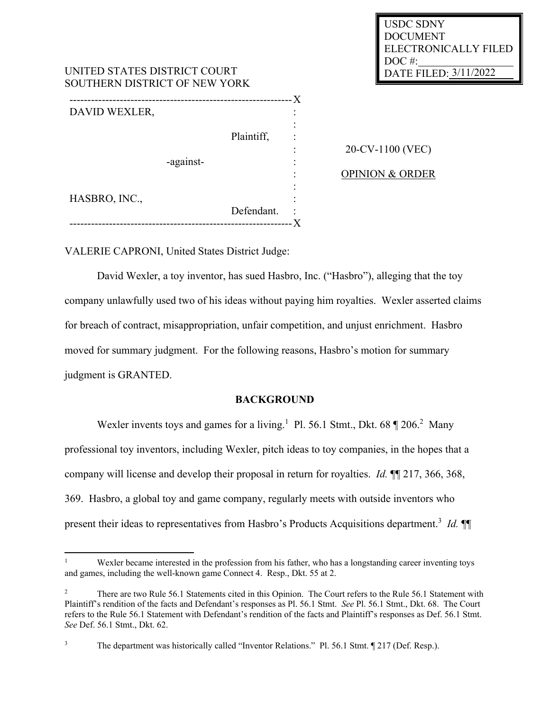| USDC SDNY             |
|-----------------------|
| <b>DOCUMENT</b>       |
| ELECTRONICALLY FILED  |
| DOC#:                 |
| DATE FILED: 3/11/2022 |

| UNITED STATES DISTRICT COURT<br>SOUTHERN DISTRICT OF NEW YORK |  |            |        | <b>DATE FILE</b>           |
|---------------------------------------------------------------|--|------------|--------|----------------------------|
|                                                               |  |            | - X    |                            |
| DAVID WEXLER,                                                 |  |            | ٠<br>٠ |                            |
|                                                               |  |            |        |                            |
|                                                               |  | Plaintiff, |        |                            |
|                                                               |  |            |        | 20-CV-1100 (VEC)           |
| -against-                                                     |  |            |        |                            |
|                                                               |  |            | ٠      | <b>OPINION &amp; ORDER</b> |
| HASBRO, INC.,                                                 |  |            |        |                            |
|                                                               |  | Defendant. |        |                            |
|                                                               |  |            |        |                            |

VALERIE CAPRONI, United States District Judge:

UNITED STATES DISTRICT COURT

David Wexler, a toy inventor, has sued Hasbro, Inc. ("Hasbro"), alleging that the toy company unlawfully used two of his ideas without paying him royalties. Wexler asserted claims for breach of contract, misappropriation, unfair competition, and unjust enrichment. Hasbro moved for summary judgment. For the following reasons, Hasbro's motion for summary judgment is GRANTED.

# **BACKGROUND**

Wexler invents toys and games for a living.<sup>1</sup> Pl. 56.1 Stmt., Dkt. 68  $\parallel$  206.<sup>2</sup> Many professional toy inventors, including Wexler, pitch ideas to toy companies, in the hopes that a company will license and develop their proposal in return for royalties. *Id.* ¶¶ 217, 366, 368, 369. Hasbro, a global toy and game company, regularly meets with outside inventors who present their ideas to representatives from Hasbro's Products Acquisitions department.<sup>3</sup> *Id.*  $\P$ 

Wexler became interested in the profession from his father, who has a longstanding career inventing toys and games, including the well-known game Connect 4. Resp., Dkt. 55 at 2.

<sup>&</sup>lt;sup>2</sup> There are two Rule 56.1 Statements cited in this Opinion. The Court refers to the Rule 56.1 Statement with Plaintiff's rendition of the facts and Defendant's responses as Pl. 56.1 Stmt. *See* Pl. 56.1 Stmt., Dkt. 68. The Court refers to the Rule 56.1 Statement with Defendant's rendition of the facts and Plaintiff's responses as Def. 56.1 Stmt. *See* Def. 56.1 Stmt., Dkt. 62.

<sup>&</sup>lt;sup>3</sup> The department was historically called "Inventor Relations." Pl. 56.1 Stmt. ¶ 217 (Def. Resp.).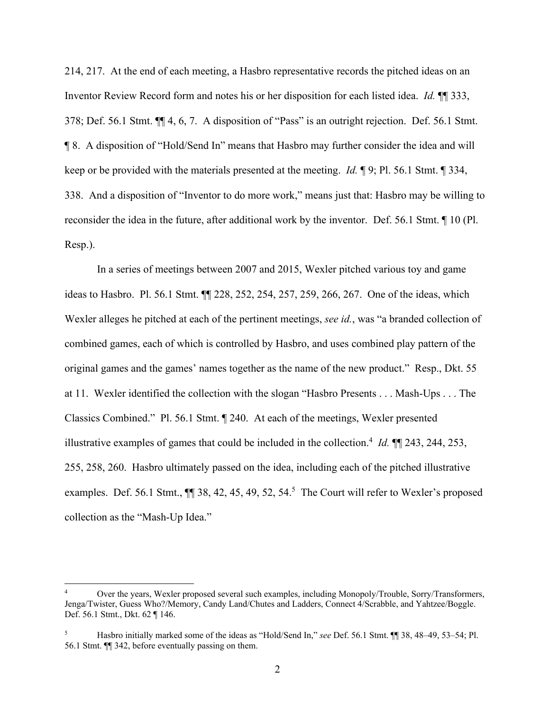214, 217. At the end of each meeting, a Hasbro representative records the pitched ideas on an Inventor Review Record form and notes his or her disposition for each listed idea. *Id.* ¶¶ 333, 378; Def. 56.1 Stmt. ¶¶ 4, 6, 7. A disposition of "Pass" is an outright rejection. Def. 56.1 Stmt. ¶ 8. A disposition of "Hold/Send In" means that Hasbro may further consider the idea and will keep or be provided with the materials presented at the meeting. *Id.* ¶ 9; Pl. 56.1 Stmt. ¶ 334, 338. And a disposition of "Inventor to do more work," means just that: Hasbro may be willing to reconsider the idea in the future, after additional work by the inventor. Def. 56.1 Stmt. ¶ 10 (Pl. Resp.).

In a series of meetings between 2007 and 2015, Wexler pitched various toy and game ideas to Hasbro. Pl. 56.1 Stmt. ¶¶ 228, 252, 254, 257, 259, 266, 267. One of the ideas, which Wexler alleges he pitched at each of the pertinent meetings, *see id.*, was "a branded collection of combined games, each of which is controlled by Hasbro, and uses combined play pattern of the original games and the games' names together as the name of the new product." Resp., Dkt. 55 at 11. Wexler identified the collection with the slogan "Hasbro Presents . . . Mash-Ups . . . The Classics Combined." Pl. 56.1 Stmt. ¶ 240. At each of the meetings, Wexler presented illustrative examples of games that could be included in the collection.<sup>4</sup> *Id.*  $\P$  243, 244, 253, 255, 258, 260. Hasbro ultimately passed on the idea, including each of the pitched illustrative examples. Def. 56.1 Stmt.,  $\P$  38, 42, 45, 49, 52, 54.<sup>5</sup> The Court will refer to Wexler's proposed collection as the "Mash-Up Idea."

Over the years, Wexler proposed several such examples, including Monopoly/Trouble, Sorry/Transformers, Jenga/Twister, Guess Who?/Memory, Candy Land/Chutes and Ladders, Connect 4/Scrabble, and Yahtzee/Boggle. Def. 56.1 Stmt., Dkt. 62 ¶ 146.

<sup>5</sup> Hasbro initially marked some of the ideas as "Hold/Send In," *see* Def. 56.1 Stmt. ¶¶ 38, 48–49, 53–54; Pl. 56.1 Stmt. ¶¶ 342, before eventually passing on them.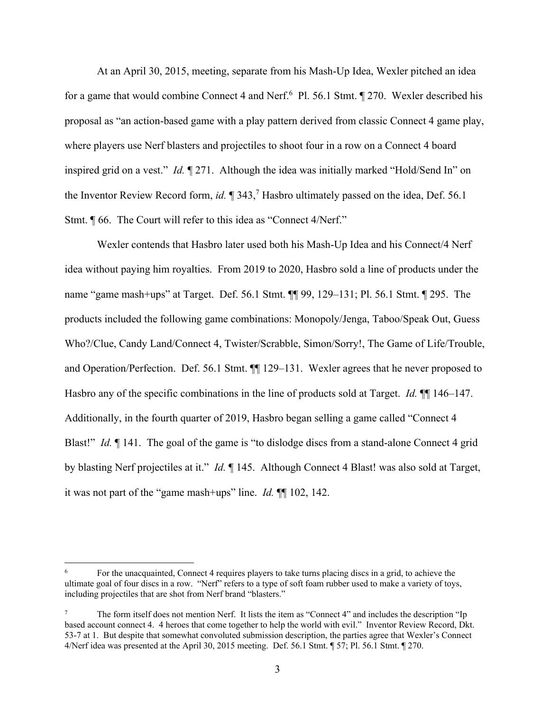At an April 30, 2015, meeting, separate from his Mash-Up Idea, Wexler pitched an idea for a game that would combine Connect 4 and Nerf.<sup>6</sup> Pl. 56.1 Stmt.  $\sqrt{270}$ . Wexler described his proposal as "an action-based game with a play pattern derived from classic Connect 4 game play, where players use Nerf blasters and projectiles to shoot four in a row on a Connect 4 board inspired grid on a vest." *Id.* ¶ 271. Although the idea was initially marked "Hold/Send In" on the Inventor Review Record form, *id.* ¶ 343, <sup>7</sup> Hasbro ultimately passed on the idea, Def. 56.1 Stmt. ¶ 66. The Court will refer to this idea as "Connect 4/Nerf."

Wexler contends that Hasbro later used both his Mash-Up Idea and his Connect/4 Nerf idea without paying him royalties. From 2019 to 2020, Hasbro sold a line of products under the name "game mash+ups" at Target. Def. 56.1 Stmt. ¶¶ 99, 129–131; Pl. 56.1 Stmt. ¶ 295. The products included the following game combinations: Monopoly/Jenga, Taboo/Speak Out, Guess Who?/Clue, Candy Land/Connect 4, Twister/Scrabble, Simon/Sorry!, The Game of Life/Trouble, and Operation/Perfection. Def. 56.1 Stmt. ¶¶ 129–131. Wexler agrees that he never proposed to Hasbro any of the specific combinations in the line of products sold at Target. *Id.* ¶¶ 146–147. Additionally, in the fourth quarter of 2019, Hasbro began selling a game called "Connect 4 Blast!" *Id.* 141. The goal of the game is "to dislodge discs from a stand-alone Connect 4 grid by blasting Nerf projectiles at it." *Id.* ¶ 145. Although Connect 4 Blast! was also sold at Target, it was not part of the "game mash+ups" line. *Id.* ¶¶ 102, 142.

For the unacquainted, Connect 4 requires players to take turns placing discs in a grid, to achieve the ultimate goal of four discs in a row. "Nerf" refers to a type of soft foam rubber used to make a variety of toys, including projectiles that are shot from Nerf brand "blasters."

<sup>7</sup> The form itself does not mention Nerf. It lists the item as "Connect 4" and includes the description "Ip based account connect 4. 4 heroes that come together to help the world with evil." Inventor Review Record, Dkt. 53-7 at 1. But despite that somewhat convoluted submission description, the parties agree that Wexler's Connect 4/Nerf idea was presented at the April 30, 2015 meeting. Def. 56.1 Stmt. ¶ 57; Pl. 56.1 Stmt. ¶ 270.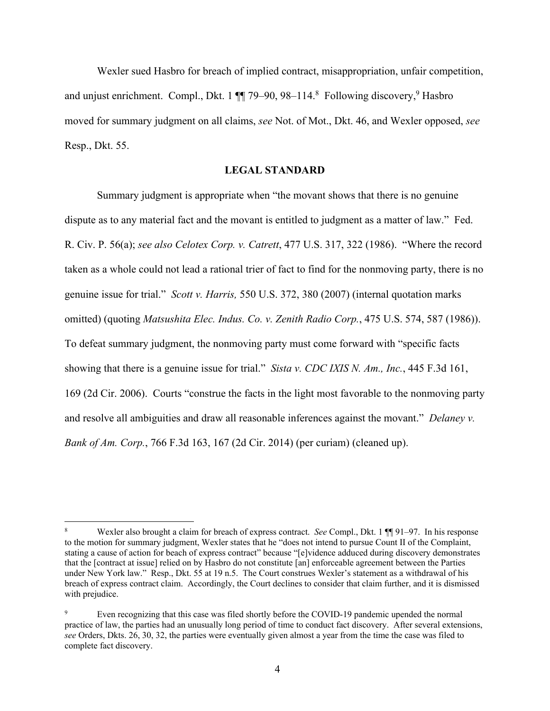Wexler sued Hasbro for breach of implied contract, misappropriation, unfair competition, and unjust enrichment. Compl., Dkt. 1  $\P$  79–90, 98–114.<sup>8</sup> Following discovery, <sup>9</sup> Hasbro moved for summary judgment on all claims, *see* Not. of Mot., Dkt. 46, and Wexler opposed, *see*  Resp., Dkt. 55.

### **LEGAL STANDARD**

Summary judgment is appropriate when "the movant shows that there is no genuine dispute as to any material fact and the movant is entitled to judgment as a matter of law." Fed. R. Civ. P. 56(a); *see also Celotex Corp. v. Catrett*, 477 U.S. 317, 322 (1986). "Where the record taken as a whole could not lead a rational trier of fact to find for the nonmoving party, there is no genuine issue for trial." *Scott v. Harris,* 550 U.S. 372, 380 (2007) (internal quotation marks omitted) (quoting *Matsushita Elec. Indus. Co. v. Zenith Radio Corp.*, 475 U.S. 574, 587 (1986)). To defeat summary judgment, the nonmoving party must come forward with "specific facts showing that there is a genuine issue for trial." *Sista v. CDC IXIS N. Am., Inc.*, 445 F.3d 161, 169 (2d Cir. 2006). Courts "construe the facts in the light most favorable to the nonmoving party and resolve all ambiguities and draw all reasonable inferences against the movant." *Delaney v. Bank of Am. Corp.*, 766 F.3d 163, 167 (2d Cir. 2014) (per curiam) (cleaned up).

<sup>8</sup> Wexler also brought a claim for breach of express contract. *See* Compl., Dkt. 1 ¶¶ 91–97. In his response to the motion for summary judgment, Wexler states that he "does not intend to pursue Count II of the Complaint, stating a cause of action for beach of express contract" because "[e]vidence adduced during discovery demonstrates that the [contract at issue] relied on by Hasbro do not constitute [an] enforceable agreement between the Parties under New York law." Resp., Dkt. 55 at 19 n.5. The Court construes Wexler's statement as a withdrawal of his breach of express contract claim. Accordingly, the Court declines to consider that claim further, and it is dismissed with prejudice.

<sup>&</sup>lt;sup>9</sup> Even recognizing that this case was filed shortly before the COVID-19 pandemic upended the normal practice of law, the parties had an unusually long period of time to conduct fact discovery. After several extensions, *see* Orders, Dkts. 26, 30, 32, the parties were eventually given almost a year from the time the case was filed to complete fact discovery.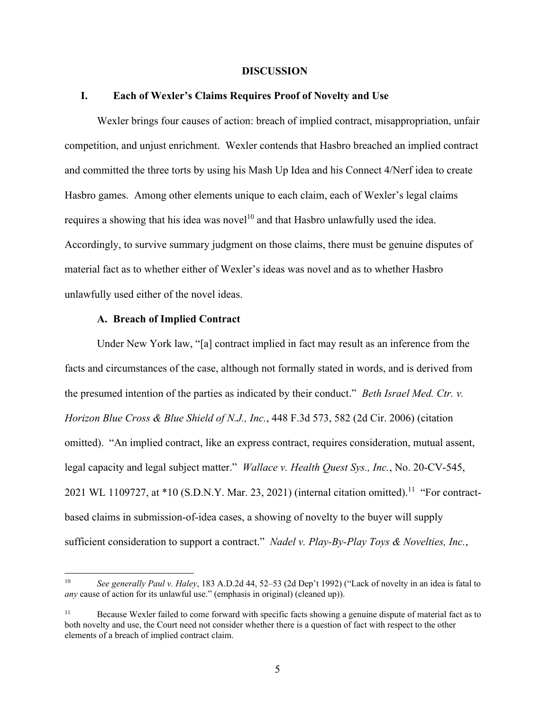#### **DISCUSSION**

#### **I. Each of Wexler's Claims Requires Proof of Novelty and Use**

Wexler brings four causes of action: breach of implied contract, misappropriation, unfair competition, and unjust enrichment. Wexler contends that Hasbro breached an implied contract and committed the three torts by using his Mash Up Idea and his Connect 4/Nerf idea to create Hasbro games. Among other elements unique to each claim, each of Wexler's legal claims requires a showing that his idea was novel<sup>10</sup> and that Hasbro unlawfully used the idea. Accordingly, to survive summary judgment on those claims, there must be genuine disputes of material fact as to whether either of Wexler's ideas was novel and as to whether Hasbro unlawfully used either of the novel ideas.

### **A. Breach of Implied Contract**

Under New York law, "[a] contract implied in fact may result as an inference from the facts and circumstances of the case, although not formally stated in words, and is derived from the presumed intention of the parties as indicated by their conduct." *Beth Israel Med. Ctr. v. Horizon Blue Cross & Blue Shield of N.J., Inc.*, 448 F.3d 573, 582 (2d Cir. 2006) (citation omitted). "An implied contract, like an express contract, requires consideration, mutual assent, legal capacity and legal subject matter." *Wallace v. Health Quest Sys., Inc.*, No. 20-CV-545, 2021 WL 1109727, at  $*10$  (S.D.N.Y. Mar. 23, 2021) (internal citation omitted).<sup>11</sup> "For contractbased claims in submission-of-idea cases, a showing of novelty to the buyer will supply sufficient consideration to support a contract." *Nadel v. Play-By-Play Toys & Novelties, Inc.*,

<sup>10</sup> *See generally Paul v. Haley*, 183 A.D.2d 44, 52–53 (2d Dep't 1992) ("Lack of novelty in an idea is fatal to *any* cause of action for its unlawful use." (emphasis in original) (cleaned up)).

<sup>&</sup>lt;sup>11</sup> Because Wexler failed to come forward with specific facts showing a genuine dispute of material fact as to both novelty and use, the Court need not consider whether there is a question of fact with respect to the other elements of a breach of implied contract claim.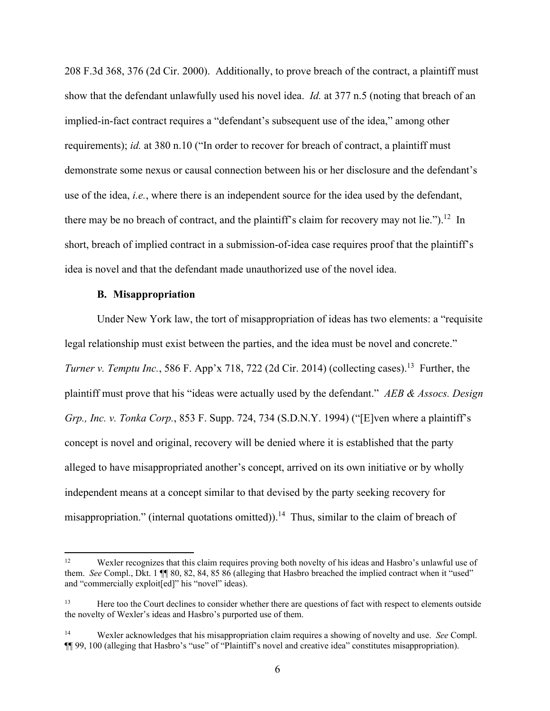208 F.3d 368, 376 (2d Cir. 2000). Additionally, to prove breach of the contract, a plaintiff must show that the defendant unlawfully used his novel idea. *Id.* at 377 n.5 (noting that breach of an implied-in-fact contract requires a "defendant's subsequent use of the idea," among other requirements); *id.* at 380 n.10 ("In order to recover for breach of contract, a plaintiff must demonstrate some nexus or causal connection between his or her disclosure and the defendant's use of the idea, *i.e.*, where there is an independent source for the idea used by the defendant, there may be no breach of contract, and the plaintiff's claim for recovery may not lie.").<sup>12</sup> In short, breach of implied contract in a submission-of-idea case requires proof that the plaintiff's idea is novel and that the defendant made unauthorized use of the novel idea.

#### **B. Misappropriation**

Under New York law, the tort of misappropriation of ideas has two elements: a "requisite legal relationship must exist between the parties, and the idea must be novel and concrete." *Turner v. Temptu Inc.*, 586 F. App'x 718, 722 (2d Cir. 2014) (collecting cases).<sup>13</sup> Further, the plaintiff must prove that his "ideas were actually used by the defendant." *AEB & Assocs. Design Grp., Inc. v. Tonka Corp.*, 853 F. Supp. 724, 734 (S.D.N.Y. 1994) ("[E]ven where a plaintiff's concept is novel and original, recovery will be denied where it is established that the party alleged to have misappropriated another's concept, arrived on its own initiative or by wholly independent means at a concept similar to that devised by the party seeking recovery for misappropriation." (internal quotations omitted)).<sup>14</sup> Thus, similar to the claim of breach of

<sup>&</sup>lt;sup>12</sup> Wexler recognizes that this claim requires proving both novelty of his ideas and Hasbro's unlawful use of them. *See* Compl., Dkt. 1 ¶¶ 80, 82, 84, 85 86 (alleging that Hasbro breached the implied contract when it "used" and "commercially exploit[ed]" his "novel" ideas).

<sup>&</sup>lt;sup>13</sup> Here too the Court declines to consider whether there are questions of fact with respect to elements outside the novelty of Wexler's ideas and Hasbro's purported use of them.

<sup>14</sup> Wexler acknowledges that his misappropriation claim requires a showing of novelty and use. *See* Compl. ¶¶ 99, 100 (alleging that Hasbro's "use" of "Plaintiff's novel and creative idea" constitutes misappropriation).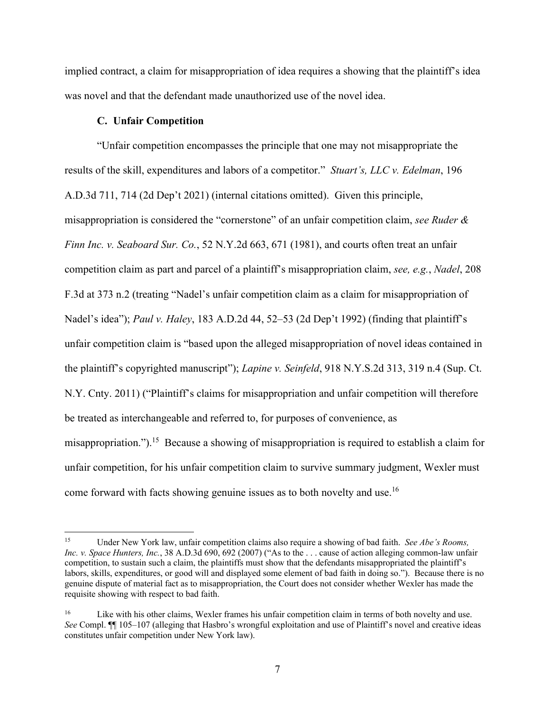implied contract, a claim for misappropriation of idea requires a showing that the plaintiff's idea was novel and that the defendant made unauthorized use of the novel idea.

## **C. Unfair Competition**

"Unfair competition encompasses the principle that one may not misappropriate the results of the skill, expenditures and labors of a competitor." *Stuart's, LLC v. Edelman*, 196 A.D.3d 711, 714 (2d Dep't 2021) (internal citations omitted). Given this principle, misappropriation is considered the "cornerstone" of an unfair competition claim, *see Ruder & Finn Inc. v. Seaboard Sur. Co.*, 52 N.Y.2d 663, 671 (1981), and courts often treat an unfair competition claim as part and parcel of a plaintiff's misappropriation claim, *see, e.g.*, *Nadel*, 208 F.3d at 373 n.2 (treating "Nadel's unfair competition claim as a claim for misappropriation of Nadel's idea"); *Paul v. Haley*, 183 A.D.2d 44, 52–53 (2d Dep't 1992) (finding that plaintiff's unfair competition claim is "based upon the alleged misappropriation of novel ideas contained in the plaintiff's copyrighted manuscript"); *Lapine v. Seinfeld*, 918 N.Y.S.2d 313, 319 n.4 (Sup. Ct. N.Y. Cnty. 2011) ("Plaintiff's claims for misappropriation and unfair competition will therefore be treated as interchangeable and referred to, for purposes of convenience, as misappropriation.").<sup>15</sup> Because a showing of misappropriation is required to establish a claim for unfair competition, for his unfair competition claim to survive summary judgment, Wexler must come forward with facts showing genuine issues as to both novelty and use.<sup>16</sup>

<sup>15</sup> Under New York law, unfair competition claims also require a showing of bad faith. *See Abe's Rooms, Inc. v. Space Hunters, Inc.*, 38 A.D.3d 690, 692 (2007) ("As to the . . . cause of action alleging common-law unfair competition, to sustain such a claim, the plaintiffs must show that the defendants misappropriated the plaintiff's labors, skills, expenditures, or good will and displayed some element of bad faith in doing so."). Because there is no genuine dispute of material fact as to misappropriation, the Court does not consider whether Wexler has made the requisite showing with respect to bad faith.

<sup>&</sup>lt;sup>16</sup> Like with his other claims, Wexler frames his unfair competition claim in terms of both novelty and use. *See* Compl. ¶¶ 105–107 (alleging that Hasbro's wrongful exploitation and use of Plaintiff's novel and creative ideas constitutes unfair competition under New York law).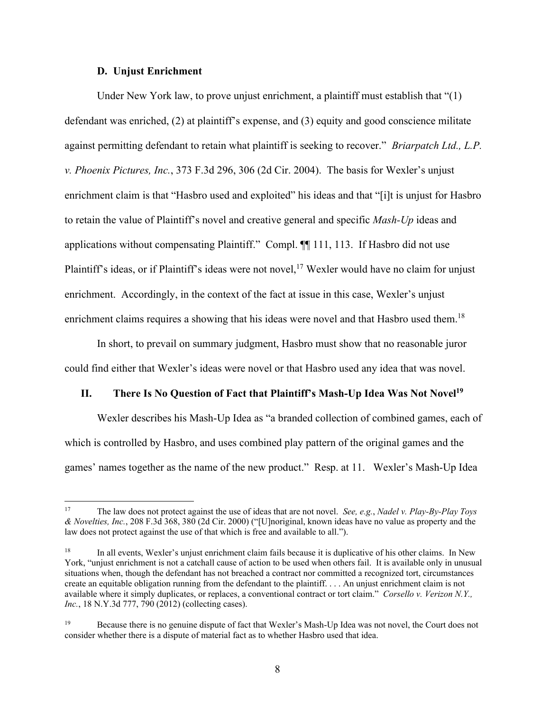### **D. Unjust Enrichment**

Under New York law, to prove unjust enrichment, a plaintiff must establish that "(1) defendant was enriched, (2) at plaintiff's expense, and (3) equity and good conscience militate against permitting defendant to retain what plaintiff is seeking to recover." *Briarpatch Ltd., L.P. v. Phoenix Pictures, Inc.*, 373 F.3d 296, 306 (2d Cir. 2004). The basis for Wexler's unjust enrichment claim is that "Hasbro used and exploited" his ideas and that "[i]t is unjust for Hasbro to retain the value of Plaintiff's novel and creative general and specific *Mash-Up* ideas and applications without compensating Plaintiff." Compl. ¶¶ 111, 113. If Hasbro did not use Plaintiff's ideas, or if Plaintiff's ideas were not novel,<sup>17</sup> Wexler would have no claim for unjust enrichment. Accordingly, in the context of the fact at issue in this case, Wexler's unjust enrichment claims requires a showing that his ideas were novel and that Hasbro used them.<sup>18</sup>

In short, to prevail on summary judgment, Hasbro must show that no reasonable juror could find either that Wexler's ideas were novel or that Hasbro used any idea that was novel.

### **II. There Is No Question of Fact that Plaintiff's Mash-Up Idea Was Not Novel<sup>19</sup>**

Wexler describes his Mash-Up Idea as "a branded collection of combined games, each of which is controlled by Hasbro, and uses combined play pattern of the original games and the games' names together as the name of the new product." Resp. at 11. Wexler's Mash-Up Idea

<sup>17</sup> The law does not protect against the use of ideas that are not novel. *See, e.g.*, *Nadel v. Play-By-Play Toys & Novelties, Inc.*, 208 F.3d 368, 380 (2d Cir. 2000) ("[U]noriginal, known ideas have no value as property and the law does not protect against the use of that which is free and available to all.").

<sup>&</sup>lt;sup>18</sup> In all events, Wexler's unjust enrichment claim fails because it is duplicative of his other claims. In New York, "unjust enrichment is not a catchall cause of action to be used when others fail. It is available only in unusual situations when, though the defendant has not breached a contract nor committed a recognized tort, circumstances create an equitable obligation running from the defendant to the plaintiff. . . . An unjust enrichment claim is not available where it simply duplicates, or replaces, a conventional contract or tort claim." *Corsello v. Verizon N.Y., Inc.*, 18 N.Y.3d 777, 790 (2012) (collecting cases).

<sup>&</sup>lt;sup>19</sup> Because there is no genuine dispute of fact that Wexler's Mash-Up Idea was not novel, the Court does not consider whether there is a dispute of material fact as to whether Hasbro used that idea.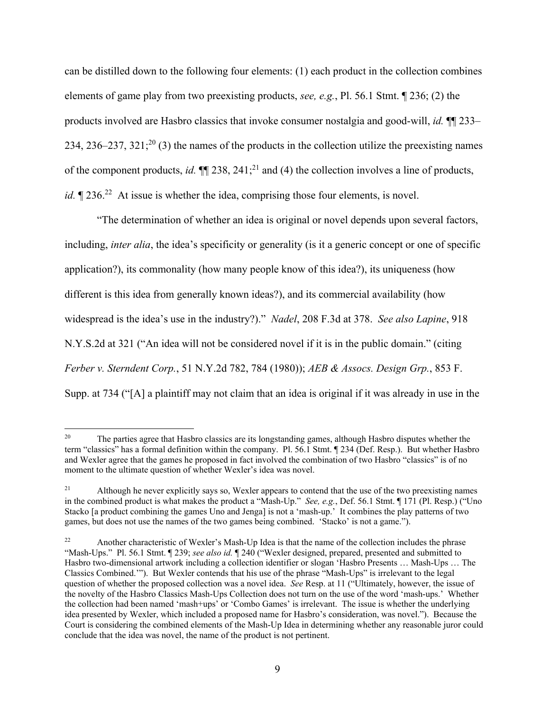can be distilled down to the following four elements: (1) each product in the collection combines elements of game play from two preexisting products, *see, e.g.*, Pl. 56.1 Stmt. ¶ 236; (2) the products involved are Hasbro classics that invoke consumer nostalgia and good-will, *id.* ¶¶ 233– 234, 236–237, 321;<sup>20</sup> (3) the names of the products in the collection utilize the preexisting names of the component products, *id.*  $\P$  238, 241;<sup>21</sup> and (4) the collection involves a line of products, *id.*  $\sqrt{236}$ <sup>22</sup> At issue is whether the idea, comprising those four elements, is novel.

"The determination of whether an idea is original or novel depends upon several factors, including, *inter alia*, the idea's specificity or generality (is it a generic concept or one of specific application?), its commonality (how many people know of this idea?), its uniqueness (how different is this idea from generally known ideas?), and its commercial availability (how widespread is the idea's use in the industry?)." *Nadel*, 208 F.3d at 378. *See also Lapine*, 918 N.Y.S.2d at 321 ("An idea will not be considered novel if it is in the public domain." (citing *Ferber v. Sterndent Corp.*, 51 N.Y.2d 782, 784 (1980)); *AEB & Assocs. Design Grp.*, 853 F. Supp. at 734 ("[A] a plaintiff may not claim that an idea is original if it was already in use in the

<sup>&</sup>lt;sup>20</sup> The parties agree that Hasbro classics are its longstanding games, although Hasbro disputes whether the term "classics" has a formal definition within the company. Pl. 56.1 Stmt. ¶ 234 (Def. Resp.). But whether Hasbro and Wexler agree that the games he proposed in fact involved the combination of two Hasbro "classics" is of no moment to the ultimate question of whether Wexler's idea was novel.

<sup>&</sup>lt;sup>21</sup> Although he never explicitly says so, Wexler appears to contend that the use of the two preexisting names in the combined product is what makes the product a "Mash-Up." *See, e.g.*, Def. 56.1 Stmt. ¶ 171 (Pl. Resp.) ("Uno Stacko [a product combining the games Uno and Jenga] is not a 'mash-up.' It combines the play patterns of two games, but does not use the names of the two games being combined. 'Stacko' is not a game.").

<sup>22</sup> Another characteristic of Wexler's Mash-Up Idea is that the name of the collection includes the phrase "Mash-Ups." Pl. 56.1 Stmt. ¶ 239; *see also id.* ¶ 240 ("Wexler designed, prepared, presented and submitted to Hasbro two-dimensional artwork including a collection identifier or slogan 'Hasbro Presents … Mash-Ups … The Classics Combined.'"). But Wexler contends that his use of the phrase "Mash-Ups" is irrelevant to the legal question of whether the proposed collection was a novel idea. *See* Resp. at 11 ("Ultimately, however, the issue of the novelty of the Hasbro Classics Mash-Ups Collection does not turn on the use of the word 'mash-ups.' Whether the collection had been named 'mash+ups' or 'Combo Games' is irrelevant. The issue is whether the underlying idea presented by Wexler, which included a proposed name for Hasbro's consideration, was novel."). Because the Court is considering the combined elements of the Mash-Up Idea in determining whether any reasonable juror could conclude that the idea was novel, the name of the product is not pertinent.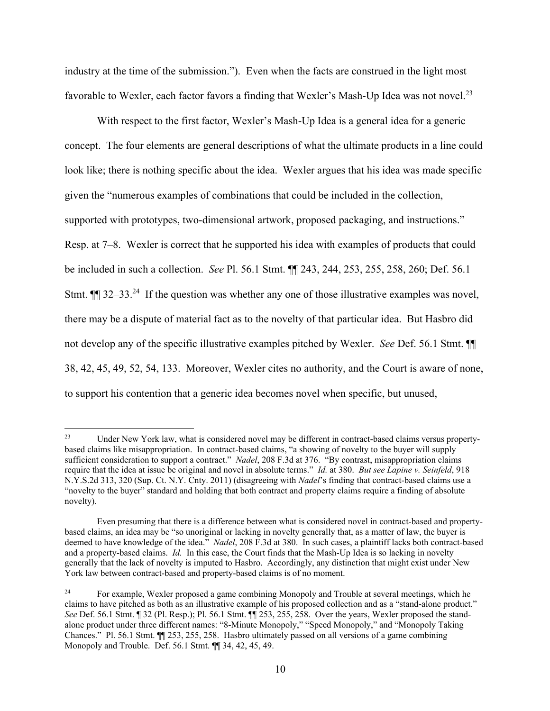industry at the time of the submission."). Even when the facts are construed in the light most favorable to Wexler, each factor favors a finding that Wexler's Mash-Up Idea was not novel.<sup>23</sup>

With respect to the first factor, Wexler's Mash-Up Idea is a general idea for a generic concept. The four elements are general descriptions of what the ultimate products in a line could look like; there is nothing specific about the idea. Wexler argues that his idea was made specific given the "numerous examples of combinations that could be included in the collection, supported with prototypes, two-dimensional artwork, proposed packaging, and instructions." Resp. at 7–8. Wexler is correct that he supported his idea with examples of products that could be included in such a collection. *See* Pl. 56.1 Stmt. ¶¶ 243, 244, 253, 255, 258, 260; Def. 56.1 Stmt.  $\P$  32–33.<sup>24</sup> If the question was whether any one of those illustrative examples was novel, there may be a dispute of material fact as to the novelty of that particular idea. But Hasbro did not develop any of the specific illustrative examples pitched by Wexler. *See* Def. 56.1 Stmt. ¶¶ 38, 42, 45, 49, 52, 54, 133. Moreover, Wexler cites no authority, and the Court is aware of none, to support his contention that a generic idea becomes novel when specific, but unused,

<sup>&</sup>lt;sup>23</sup> Under New York law, what is considered novel may be different in contract-based claims versus propertybased claims like misappropriation. In contract-based claims, "a showing of novelty to the buyer will supply sufficient consideration to support a contract." *Nadel*, 208 F.3d at 376. "By contrast, misappropriation claims require that the idea at issue be original and novel in absolute terms." *Id.* at 380. *But see Lapine v. Seinfeld*, 918 N.Y.S.2d 313, 320 (Sup. Ct. N.Y. Cnty. 2011) (disagreeing with *Nadel*'s finding that contract-based claims use a "novelty to the buyer" standard and holding that both contract and property claims require a finding of absolute novelty).

Even presuming that there is a difference between what is considered novel in contract-based and propertybased claims, an idea may be "so unoriginal or lacking in novelty generally that, as a matter of law, the buyer is deemed to have knowledge of the idea." *Nadel*, 208 F.3d at 380. In such cases, a plaintiff lacks both contract-based and a property-based claims. *Id.* In this case, the Court finds that the Mash-Up Idea is so lacking in novelty generally that the lack of novelty is imputed to Hasbro. Accordingly, any distinction that might exist under New York law between contract-based and property-based claims is of no moment.

<sup>&</sup>lt;sup>24</sup> For example, Wexler proposed a game combining Monopoly and Trouble at several meetings, which he claims to have pitched as both as an illustrative example of his proposed collection and as a "stand-alone product." *See* Def. 56.1 Stmt. ¶ 32 (Pl. Resp.); Pl. 56.1 Stmt. ¶¶ 253, 255, 258. Over the years, Wexler proposed the standalone product under three different names: "8-Minute Monopoly," "Speed Monopoly," and "Monopoly Taking Chances." Pl. 56.1 Stmt. ¶¶ 253, 255, 258. Hasbro ultimately passed on all versions of a game combining Monopoly and Trouble. Def. 56.1 Stmt. ¶¶ 34, 42, 45, 49.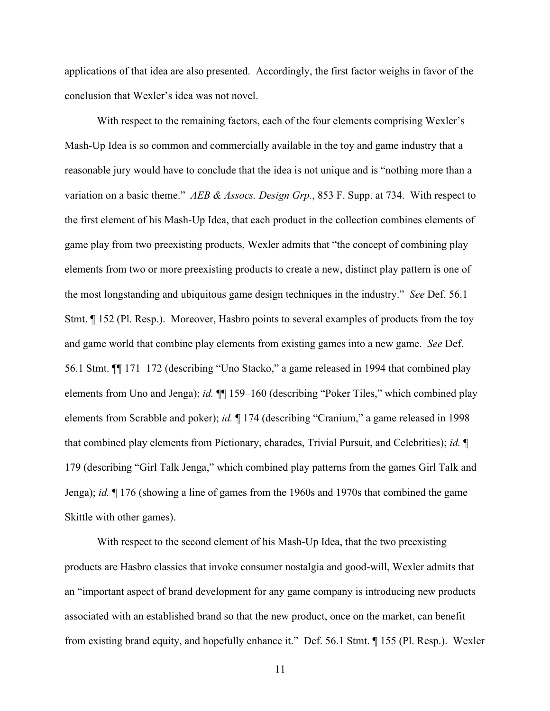applications of that idea are also presented. Accordingly, the first factor weighs in favor of the conclusion that Wexler's idea was not novel.

With respect to the remaining factors, each of the four elements comprising Wexler's Mash-Up Idea is so common and commercially available in the toy and game industry that a reasonable jury would have to conclude that the idea is not unique and is "nothing more than a variation on a basic theme." *AEB & Assocs. Design Grp.*, 853 F. Supp. at 734. With respect to the first element of his Mash-Up Idea, that each product in the collection combines elements of game play from two preexisting products, Wexler admits that "the concept of combining play elements from two or more preexisting products to create a new, distinct play pattern is one of the most longstanding and ubiquitous game design techniques in the industry." *See* Def. 56.1 Stmt. ¶ 152 (Pl. Resp.). Moreover, Hasbro points to several examples of products from the toy and game world that combine play elements from existing games into a new game. *See* Def. 56.1 Stmt. ¶¶ 171–172 (describing "Uno Stacko," a game released in 1994 that combined play elements from Uno and Jenga); *id.* ¶¶ 159–160 (describing "Poker Tiles," which combined play elements from Scrabble and poker); *id.* ¶ 174 (describing "Cranium," a game released in 1998 that combined play elements from Pictionary, charades, Trivial Pursuit, and Celebrities); *id.* ¶ 179 (describing "Girl Talk Jenga," which combined play patterns from the games Girl Talk and Jenga); *id.* ¶ 176 (showing a line of games from the 1960s and 1970s that combined the game Skittle with other games).

With respect to the second element of his Mash-Up Idea, that the two preexisting products are Hasbro classics that invoke consumer nostalgia and good-will, Wexler admits that an "important aspect of brand development for any game company is introducing new products associated with an established brand so that the new product, once on the market, can benefit from existing brand equity, and hopefully enhance it." Def. 56.1 Stmt. ¶ 155 (Pl. Resp.). Wexler

11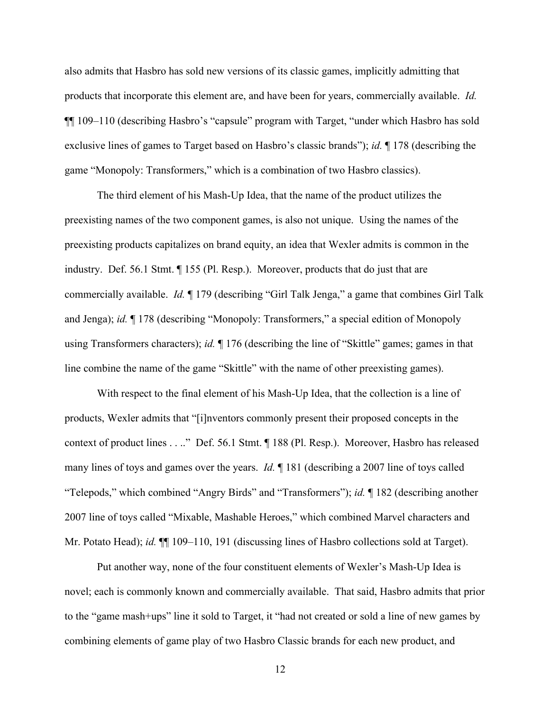also admits that Hasbro has sold new versions of its classic games, implicitly admitting that products that incorporate this element are, and have been for years, commercially available. *Id.*  ¶¶ 109–110 (describing Hasbro's "capsule" program with Target, "under which Hasbro has sold exclusive lines of games to Target based on Hasbro's classic brands"); *id.* ¶ 178 (describing the game "Monopoly: Transformers," which is a combination of two Hasbro classics).

The third element of his Mash-Up Idea, that the name of the product utilizes the preexisting names of the two component games, is also not unique. Using the names of the preexisting products capitalizes on brand equity, an idea that Wexler admits is common in the industry. Def. 56.1 Stmt. ¶ 155 (Pl. Resp.). Moreover, products that do just that are commercially available. *Id.* ¶ 179 (describing "Girl Talk Jenga," a game that combines Girl Talk and Jenga); *id.* ¶ 178 (describing "Monopoly: Transformers," a special edition of Monopoly using Transformers characters); *id.* ¶ 176 (describing the line of "Skittle" games; games in that line combine the name of the game "Skittle" with the name of other preexisting games).

With respect to the final element of his Mash-Up Idea, that the collection is a line of products, Wexler admits that "[i]nventors commonly present their proposed concepts in the context of product lines . . .." Def. 56.1 Stmt. ¶ 188 (Pl. Resp.). Moreover, Hasbro has released many lines of toys and games over the years. *Id.* ¶ 181 (describing a 2007 line of toys called "Telepods," which combined "Angry Birds" and "Transformers"); *id.* ¶ 182 (describing another 2007 line of toys called "Mixable, Mashable Heroes," which combined Marvel characters and Mr. Potato Head); *id.*  $\blacksquare$  109–110, 191 (discussing lines of Hasbro collections sold at Target).

Put another way, none of the four constituent elements of Wexler's Mash-Up Idea is novel; each is commonly known and commercially available. That said, Hasbro admits that prior to the "game mash+ups" line it sold to Target, it "had not created or sold a line of new games by combining elements of game play of two Hasbro Classic brands for each new product, and

12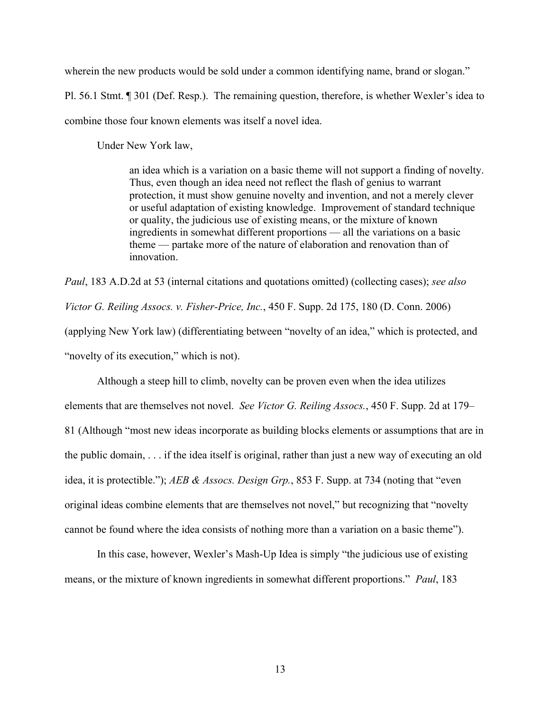wherein the new products would be sold under a common identifying name, brand or slogan."

Pl. 56.1 Stmt. ¶ 301 (Def. Resp.). The remaining question, therefore, is whether Wexler's idea to combine those four known elements was itself a novel idea.

Under New York law,

an idea which is a variation on a basic theme will not support a finding of novelty. Thus, even though an idea need not reflect the flash of genius to warrant protection, it must show genuine novelty and invention, and not a merely clever or useful adaptation of existing knowledge. Improvement of standard technique or quality, the judicious use of existing means, or the mixture of known ingredients in somewhat different proportions — all the variations on a basic theme — partake more of the nature of elaboration and renovation than of innovation.

*Paul*, 183 A.D.2d at 53 (internal citations and quotations omitted) (collecting cases); *see also Victor G. Reiling Assocs. v. Fisher-Price, Inc.*, 450 F. Supp. 2d 175, 180 (D. Conn. 2006) (applying New York law) (differentiating between "novelty of an idea," which is protected, and "novelty of its execution," which is not).

Although a steep hill to climb, novelty can be proven even when the idea utilizes elements that are themselves not novel. *See Victor G. Reiling Assocs.*, 450 F. Supp. 2d at 179– 81 (Although "most new ideas incorporate as building blocks elements or assumptions that are in the public domain, . . . if the idea itself is original, rather than just a new way of executing an old idea, it is protectible."); *AEB & Assocs. Design Grp.*, 853 F. Supp. at 734 (noting that "even original ideas combine elements that are themselves not novel," but recognizing that "novelty cannot be found where the idea consists of nothing more than a variation on a basic theme").

In this case, however, Wexler's Mash-Up Idea is simply "the judicious use of existing means, or the mixture of known ingredients in somewhat different proportions." *Paul*, 183

13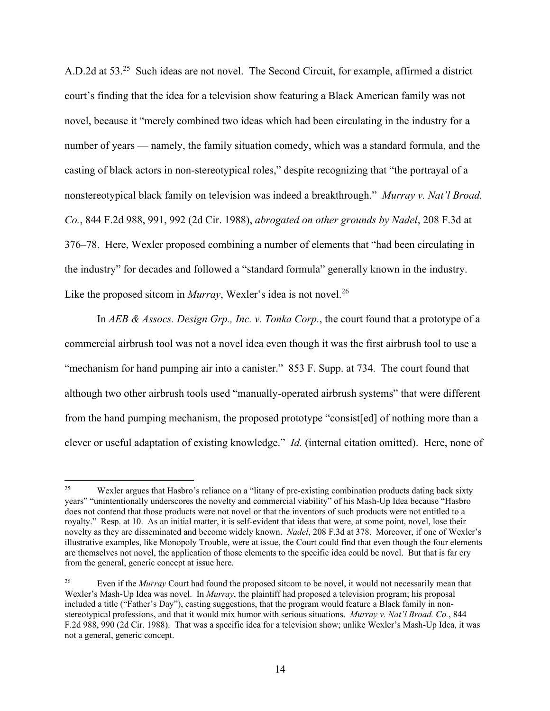A.D.2d at 53.<sup>25</sup> Such ideas are not novel. The Second Circuit, for example, affirmed a district court's finding that the idea for a television show featuring a Black American family was not novel, because it "merely combined two ideas which had been circulating in the industry for a number of years — namely, the family situation comedy, which was a standard formula, and the casting of black actors in non-stereotypical roles," despite recognizing that "the portrayal of a nonstereotypical black family on television was indeed a breakthrough." *Murray v. Nat'l Broad. Co.*, 844 F.2d 988, 991, 992 (2d Cir. 1988), *abrogated on other grounds by Nadel*, 208 F.3d at 376–78. Here, Wexler proposed combining a number of elements that "had been circulating in the industry" for decades and followed a "standard formula" generally known in the industry. Like the proposed sitcom in *Murray*, Wexler's idea is not novel.<sup>26</sup>

In *AEB & Assocs. Design Grp., Inc. v. Tonka Corp.*, the court found that a prototype of a commercial airbrush tool was not a novel idea even though it was the first airbrush tool to use a "mechanism for hand pumping air into a canister." 853 F. Supp. at 734. The court found that although two other airbrush tools used "manually-operated airbrush systems" that were different from the hand pumping mechanism, the proposed prototype "consist[ed] of nothing more than a clever or useful adaptation of existing knowledge." *Id.* (internal citation omitted).Here, none of

<sup>&</sup>lt;sup>25</sup> Wexler argues that Hasbro's reliance on a "litany of pre-existing combination products dating back sixty years" "unintentionally underscores the novelty and commercial viability" of his Mash-Up Idea because "Hasbro does not contend that those products were not novel or that the inventors of such products were not entitled to a royalty." Resp. at 10. As an initial matter, it is self-evident that ideas that were, at some point, novel, lose their novelty as they are disseminated and become widely known. *Nadel*, 208 F.3d at 378. Moreover, if one of Wexler's illustrative examples, like Monopoly Trouble, were at issue, the Court could find that even though the four elements are themselves not novel, the application of those elements to the specific idea could be novel. But that is far cry from the general, generic concept at issue here.

<sup>&</sup>lt;sup>26</sup> Even if the *Murray* Court had found the proposed sitcom to be novel, it would not necessarily mean that Wexler's Mash-Up Idea was novel. In *Murray*, the plaintiff had proposed a television program; his proposal included a title ("Father's Day"), casting suggestions, that the program would feature a Black family in nonstereotypical professions, and that it would mix humor with serious situations. *Murray v. Nat'l Broad. Co.*, 844 F.2d 988, 990 (2d Cir. 1988). That was a specific idea for a television show; unlike Wexler's Mash-Up Idea, it was not a general, generic concept.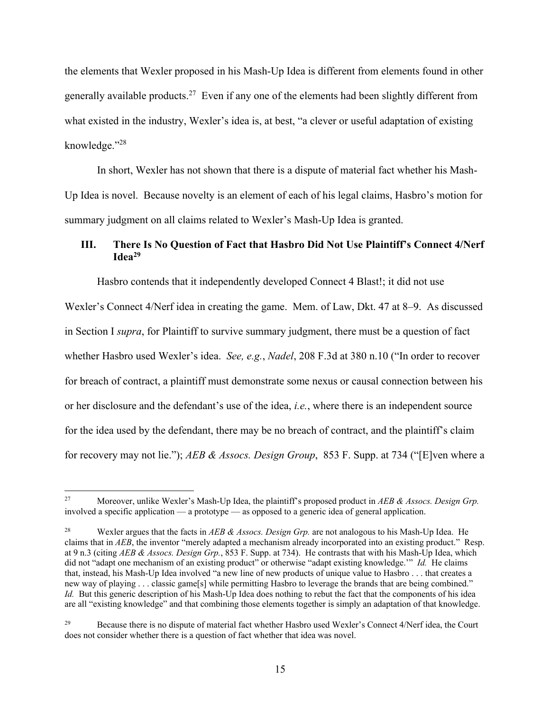the elements that Wexler proposed in his Mash-Up Idea is different from elements found in other generally available products.<sup>27</sup> Even if any one of the elements had been slightly different from what existed in the industry, Wexler's idea is, at best, "a clever or useful adaptation of existing knowledge."<sup>28</sup>

In short, Wexler has not shown that there is a dispute of material fact whether his Mash-Up Idea is novel. Because novelty is an element of each of his legal claims, Hasbro's motion for summary judgment on all claims related to Wexler's Mash-Up Idea is granted.

# **III. There Is No Question of Fact that Hasbro Did Not Use Plaintiff's Connect 4/Nerf Idea<sup>29</sup>**

Hasbro contends that it independently developed Connect 4 Blast!; it did not use

Wexler's Connect 4/Nerf idea in creating the game. Mem. of Law, Dkt. 47 at 8–9. As discussed in Section I *supra*, for Plaintiff to survive summary judgment, there must be a question of fact whether Hasbro used Wexler's idea. *See, e.g.*, *Nadel*, 208 F.3d at 380 n.10 ("In order to recover for breach of contract, a plaintiff must demonstrate some nexus or causal connection between his or her disclosure and the defendant's use of the idea, *i.e.*, where there is an independent source for the idea used by the defendant, there may be no breach of contract, and the plaintiff's claim for recovery may not lie."); *AEB & Assocs. Design Group*, 853 F. Supp. at 734 ("[E]ven where a

<sup>27</sup> Moreover, unlike Wexler's Mash-Up Idea, the plaintiff's proposed product in *AEB & Assocs. Design Grp.* involved a specific application — a prototype — as opposed to a generic idea of general application.

<sup>28</sup> Wexler argues that the facts in *AEB & Assocs. Design Grp.* are not analogous to his Mash-Up Idea. He claims that in *AEB*, the inventor "merely adapted a mechanism already incorporated into an existing product." Resp. at 9 n.3 (citing *AEB & Assocs. Design Grp.*, 853 F. Supp. at 734). He contrasts that with his Mash-Up Idea, which did not "adapt one mechanism of an existing product" or otherwise "adapt existing knowledge.'" *Id.* He claims that, instead, his Mash-Up Idea involved "a new line of new products of unique value to Hasbro . . . that creates a new way of playing . . . classic game[s] while permitting Hasbro to leverage the brands that are being combined." *Id.* But this generic description of his Mash-Up Idea does nothing to rebut the fact that the components of his idea are all "existing knowledge" and that combining those elements together is simply an adaptation of that knowledge.

<sup>&</sup>lt;sup>29</sup> Because there is no dispute of material fact whether Hasbro used Wexler's Connect 4/Nerf idea, the Court does not consider whether there is a question of fact whether that idea was novel.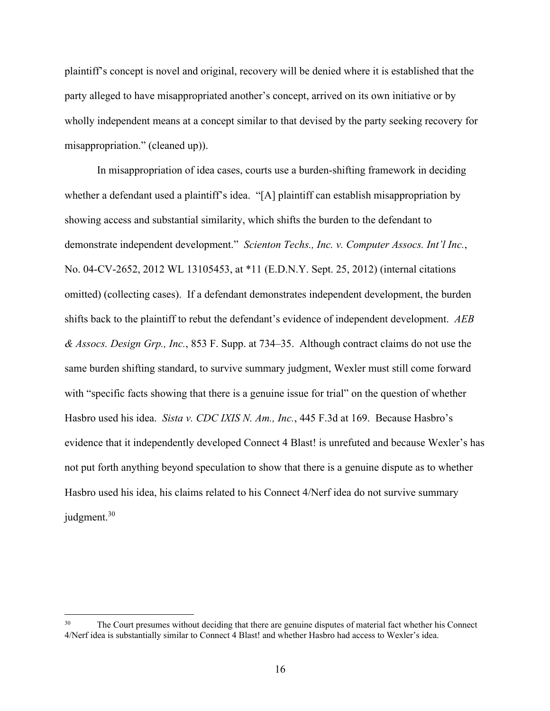plaintiff's concept is novel and original, recovery will be denied where it is established that the party alleged to have misappropriated another's concept, arrived on its own initiative or by wholly independent means at a concept similar to that devised by the party seeking recovery for misappropriation." (cleaned up)).

In misappropriation of idea cases, courts use a burden-shifting framework in deciding whether a defendant used a plaintiff's idea. "[A] plaintiff can establish misappropriation by showing access and substantial similarity, which shifts the burden to the defendant to demonstrate independent development." *Scienton Techs., Inc. v. Computer Assocs. Int'l Inc.*, No. 04-CV-2652, 2012 WL 13105453, at \*11 (E.D.N.Y. Sept. 25, 2012) (internal citations omitted) (collecting cases). If a defendant demonstrates independent development, the burden shifts back to the plaintiff to rebut the defendant's evidence of independent development. *AEB & Assocs. Design Grp., Inc.*, 853 F. Supp. at 734–35. Although contract claims do not use the same burden shifting standard, to survive summary judgment, Wexler must still come forward with "specific facts showing that there is a genuine issue for trial" on the question of whether Hasbro used his idea. *Sista v. CDC IXIS N. Am., Inc.*, 445 F.3d at 169. Because Hasbro's evidence that it independently developed Connect 4 Blast! is unrefuted and because Wexler's has not put forth anything beyond speculation to show that there is a genuine dispute as to whether Hasbro used his idea, his claims related to his Connect 4/Nerf idea do not survive summary judgment.<sup>30</sup>

The Court presumes without deciding that there are genuine disputes of material fact whether his Connect 4/Nerf idea is substantially similar to Connect 4 Blast! and whether Hasbro had access to Wexler's idea.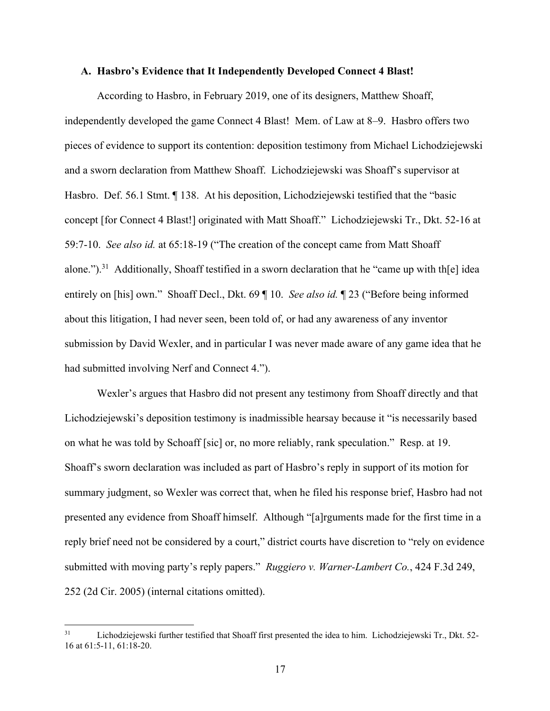### **A. Hasbro's Evidence that It Independently Developed Connect 4 Blast!**

According to Hasbro, in February 2019, one of its designers, Matthew Shoaff, independently developed the game Connect 4 Blast! Mem. of Law at 8–9. Hasbro offers two pieces of evidence to support its contention: deposition testimony from Michael Lichodziejewski and a sworn declaration from Matthew Shoaff. Lichodziejewski was Shoaff's supervisor at Hasbro. Def. 56.1 Stmt. ¶ 138. At his deposition, Lichodziejewski testified that the "basic concept [for Connect 4 Blast!] originated with Matt Shoaff." Lichodziejewski Tr., Dkt. 52-16 at 59:7-10. *See also id.* at 65:18-19 ("The creation of the concept came from Matt Shoaff alone.").<sup>31</sup> Additionally, Shoaff testified in a sworn declaration that he "came up with th[e] idea entirely on [his] own." Shoaff Decl., Dkt. 69 ¶ 10. *See also id.* ¶ 23 ("Before being informed about this litigation, I had never seen, been told of, or had any awareness of any inventor submission by David Wexler, and in particular I was never made aware of any game idea that he had submitted involving Nerf and Connect 4.").

Wexler's argues that Hasbro did not present any testimony from Shoaff directly and that Lichodziejewski's deposition testimony is inadmissible hearsay because it "is necessarily based on what he was told by Schoaff [sic] or, no more reliably, rank speculation." Resp. at 19. Shoaff's sworn declaration was included as part of Hasbro's reply in support of its motion for summary judgment, so Wexler was correct that, when he filed his response brief, Hasbro had not presented any evidence from Shoaff himself. Although "[a]rguments made for the first time in a reply brief need not be considered by a court," district courts have discretion to "rely on evidence submitted with moving party's reply papers." *Ruggiero v. Warner-Lambert Co.*, 424 F.3d 249, 252 (2d Cir. 2005) (internal citations omitted).

<sup>&</sup>lt;sup>31</sup> Lichodziejewski further testified that Shoaff first presented the idea to him. Lichodziejewski Tr., Dkt. 52-16 at 61:5-11, 61:18-20.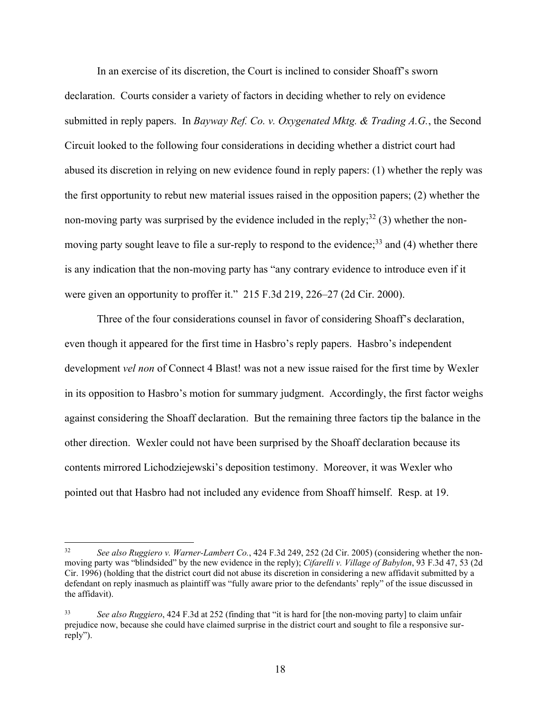In an exercise of its discretion, the Court is inclined to consider Shoaff's sworn declaration. Courts consider a variety of factors in deciding whether to rely on evidence submitted in reply papers. In *Bayway Ref. Co. v. Oxygenated Mktg. & Trading A.G.*, the Second Circuit looked to the following four considerations in deciding whether a district court had abused its discretion in relying on new evidence found in reply papers: (1) whether the reply was the first opportunity to rebut new material issues raised in the opposition papers; (2) whether the non-moving party was surprised by the evidence included in the reply;<sup>32</sup> (3) whether the nonmoving party sought leave to file a sur-reply to respond to the evidence;<sup>33</sup> and (4) whether there is any indication that the non-moving party has "any contrary evidence to introduce even if it were given an opportunity to proffer it." 215 F.3d 219, 226–27 (2d Cir. 2000).

Three of the four considerations counsel in favor of considering Shoaff's declaration, even though it appeared for the first time in Hasbro's reply papers. Hasbro's independent development *vel non* of Connect 4 Blast! was not a new issue raised for the first time by Wexler in its opposition to Hasbro's motion for summary judgment. Accordingly, the first factor weighs against considering the Shoaff declaration. But the remaining three factors tip the balance in the other direction. Wexler could not have been surprised by the Shoaff declaration because its contents mirrored Lichodziejewski's deposition testimony. Moreover, it was Wexler who pointed out that Hasbro had not included any evidence from Shoaff himself. Resp. at 19.

<sup>32</sup> *See also Ruggiero v. Warner-Lambert Co.*, 424 F.3d 249, 252 (2d Cir. 2005) (considering whether the nonmoving party was "blindsided" by the new evidence in the reply); *Cifarelli v. Village of Babylon*, 93 F.3d 47, 53 (2d Cir. 1996) (holding that the district court did not abuse its discretion in considering a new affidavit submitted by a defendant on reply inasmuch as plaintiff was "fully aware prior to the defendants' reply" of the issue discussed in the affidavit).

<sup>33</sup> *See also Ruggiero*, 424 F.3d at 252 (finding that "it is hard for [the non-moving party] to claim unfair prejudice now, because she could have claimed surprise in the district court and sought to file a responsive surreply").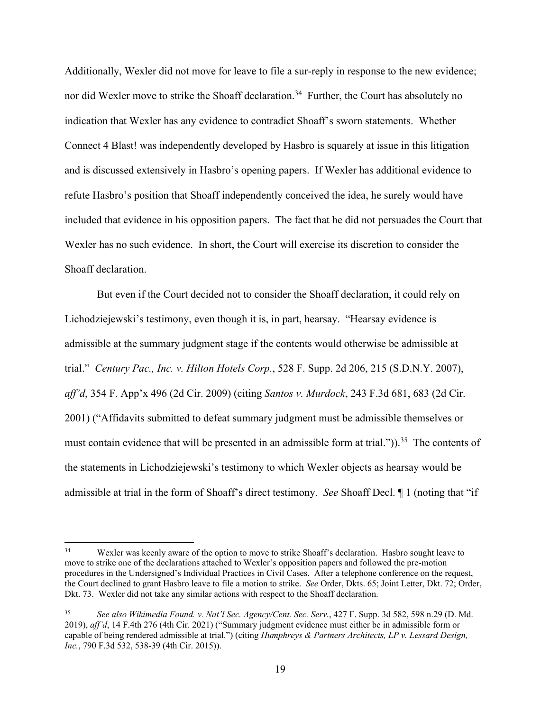Additionally, Wexler did not move for leave to file a sur-reply in response to the new evidence; nor did Wexler move to strike the Shoaff declaration.<sup>34</sup> Further, the Court has absolutely no indication that Wexler has any evidence to contradict Shoaff's sworn statements. Whether Connect 4 Blast! was independently developed by Hasbro is squarely at issue in this litigation and is discussed extensively in Hasbro's opening papers. If Wexler has additional evidence to refute Hasbro's position that Shoaff independently conceived the idea, he surely would have included that evidence in his opposition papers. The fact that he did not persuades the Court that Wexler has no such evidence. In short, the Court will exercise its discretion to consider the Shoaff declaration.

But even if the Court decided not to consider the Shoaff declaration, it could rely on Lichodziejewski's testimony, even though it is, in part, hearsay. "Hearsay evidence is admissible at the summary judgment stage if the contents would otherwise be admissible at trial." *Century Pac., Inc. v. Hilton Hotels Corp.*, 528 F. Supp. 2d 206, 215 (S.D.N.Y. 2007), *aff'd*, 354 F. App'x 496 (2d Cir. 2009) (citing *Santos v. Murdock*, 243 F.3d 681, 683 (2d Cir. 2001) ("Affidavits submitted to defeat summary judgment must be admissible themselves or must contain evidence that will be presented in an admissible form at trial.")).<sup>35</sup> The contents of the statements in Lichodziejewski's testimony to which Wexler objects as hearsay would be admissible at trial in the form of Shoaff's direct testimony. *See* Shoaff Decl. ¶ 1 (noting that "if

<sup>34</sup> Wexler was keenly aware of the option to move to strike Shoaff's declaration. Hasbro sought leave to move to strike one of the declarations attached to Wexler's opposition papers and followed the pre-motion procedures in the Undersigned's Individual Practices in Civil Cases. After a telephone conference on the request, the Court declined to grant Hasbro leave to file a motion to strike. *See* Order, Dkts. 65; Joint Letter, Dkt. 72; Order, Dkt. 73. Wexler did not take any similar actions with respect to the Shoaff declaration.

<sup>35</sup> *See also Wikimedia Found. v. Nat'l Sec. Agency/Cent. Sec. Serv.*, 427 F. Supp. 3d 582, 598 n.29 (D. Md. 2019), *aff'd*, 14 F.4th 276 (4th Cir. 2021) ("Summary judgment evidence must either be in admissible form or capable of being rendered admissible at trial.") (citing *Humphreys & Partners Architects, LP v. Lessard Design, Inc.*, 790 F.3d 532, 538-39 (4th Cir. 2015)).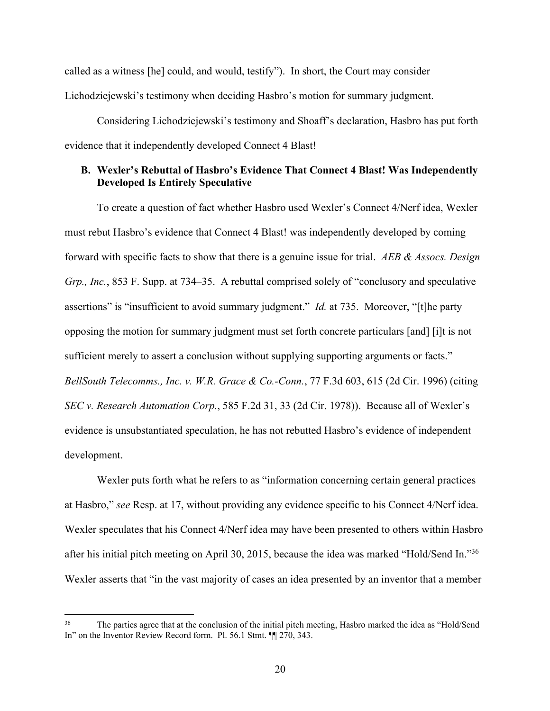called as a witness [he] could, and would, testify"). In short, the Court may consider Lichodziejewski's testimony when deciding Hasbro's motion for summary judgment.

Considering Lichodziejewski's testimony and Shoaff's declaration, Hasbro has put forth evidence that it independently developed Connect 4 Blast!

# **B. Wexler's Rebuttal of Hasbro's Evidence That Connect 4 Blast! Was Independently Developed Is Entirely Speculative**

To create a question of fact whether Hasbro used Wexler's Connect 4/Nerf idea, Wexler must rebut Hasbro's evidence that Connect 4 Blast! was independently developed by coming forward with specific facts to show that there is a genuine issue for trial. *AEB & Assocs. Design Grp., Inc.*, 853 F. Supp. at 734–35. A rebuttal comprised solely of "conclusory and speculative assertions" is "insufficient to avoid summary judgment." *Id.* at 735. Moreover, "[t]he party opposing the motion for summary judgment must set forth concrete particulars [and] [i]t is not sufficient merely to assert a conclusion without supplying supporting arguments or facts." *BellSouth Telecomms., Inc. v. W.R. Grace & Co.-Conn.*, 77 F.3d 603, 615 (2d Cir. 1996) (citing *SEC v. Research Automation Corp.*, 585 F.2d 31, 33 (2d Cir. 1978)). Because all of Wexler's evidence is unsubstantiated speculation, he has not rebutted Hasbro's evidence of independent development.

Wexler puts forth what he refers to as "information concerning certain general practices at Hasbro," *see* Resp. at 17, without providing any evidence specific to his Connect 4/Nerf idea. Wexler speculates that his Connect 4/Nerf idea may have been presented to others within Hasbro after his initial pitch meeting on April 30, 2015, because the idea was marked "Hold/Send In."36 Wexler asserts that "in the vast majority of cases an idea presented by an inventor that a member

The parties agree that at the conclusion of the initial pitch meeting, Hasbro marked the idea as "Hold/Send" In" on the Inventor Review Record form. Pl. 56.1 Stmt. ¶¶ 270, 343.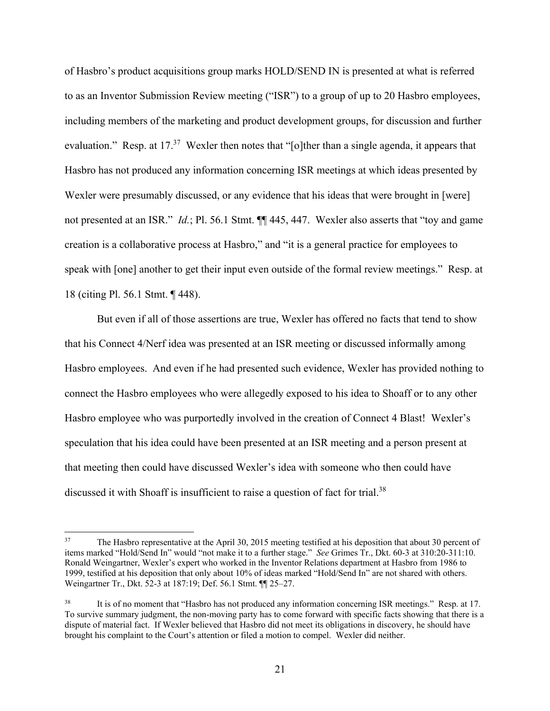of Hasbro's product acquisitions group marks HOLD/SEND IN is presented at what is referred to as an Inventor Submission Review meeting ("ISR") to a group of up to 20 Hasbro employees, including members of the marketing and product development groups, for discussion and further evaluation." Resp. at 17.<sup>37</sup> Wexler then notes that "[o]ther than a single agenda, it appears that Hasbro has not produced any information concerning ISR meetings at which ideas presented by Wexler were presumably discussed, or any evidence that his ideas that were brought in [were] not presented at an ISR." *Id.*; Pl. 56.1 Stmt. ¶¶ 445, 447.Wexler also asserts that "toy and game creation is a collaborative process at Hasbro," and "it is a general practice for employees to speak with [one] another to get their input even outside of the formal review meetings." Resp. at 18 (citing Pl. 56.1 Stmt. ¶ 448).

But even if all of those assertions are true, Wexler has offered no facts that tend to show that his Connect 4/Nerf idea was presented at an ISR meeting or discussed informally among Hasbro employees. And even if he had presented such evidence, Wexler has provided nothing to connect the Hasbro employees who were allegedly exposed to his idea to Shoaff or to any other Hasbro employee who was purportedly involved in the creation of Connect 4 Blast! Wexler's speculation that his idea could have been presented at an ISR meeting and a person present at that meeting then could have discussed Wexler's idea with someone who then could have discussed it with Shoaff is insufficient to raise a question of fact for trial.<sup>38</sup>

<sup>&</sup>lt;sup>37</sup> The Hasbro representative at the April 30, 2015 meeting testified at his deposition that about 30 percent of items marked "Hold/Send In" would "not make it to a further stage." *See* Grimes Tr., Dkt. 60-3 at 310:20-311:10. Ronald Weingartner, Wexler's expert who worked in the Inventor Relations department at Hasbro from 1986 to 1999, testified at his deposition that only about 10% of ideas marked "Hold/Send In" are not shared with others. Weingartner Tr., Dkt. 52-3 at 187:19; Def. 56.1 Stmt. ¶¶ 25–27.

It is of no moment that "Hasbro has not produced any information concerning ISR meetings." Resp. at 17. To survive summary judgment, the non-moving party has to come forward with specific facts showing that there is a dispute of material fact. If Wexler believed that Hasbro did not meet its obligations in discovery, he should have brought his complaint to the Court's attention or filed a motion to compel. Wexler did neither.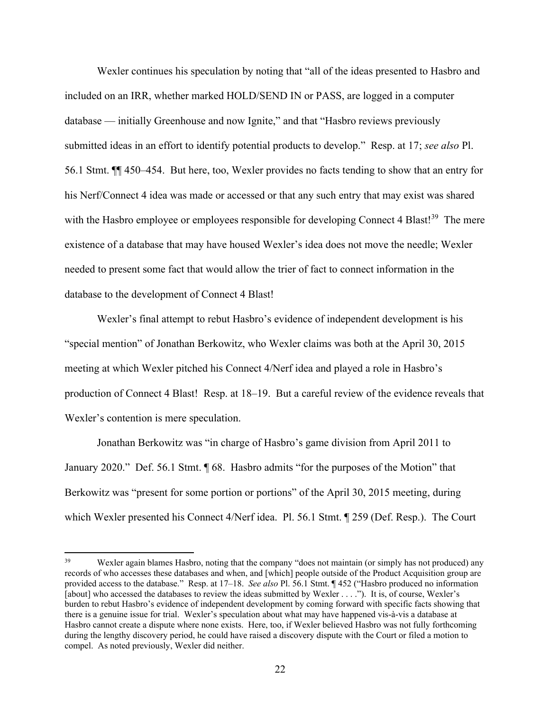Wexler continues his speculation by noting that "all of the ideas presented to Hasbro and included on an IRR, whether marked HOLD/SEND IN or PASS, are logged in a computer database — initially Greenhouse and now Ignite," and that "Hasbro reviews previously submitted ideas in an effort to identify potential products to develop." Resp. at 17; *see also* Pl. 56.1 Stmt. ¶¶ 450–454. But here, too, Wexler provides no facts tending to show that an entry for his Nerf/Connect 4 idea was made or accessed or that any such entry that may exist was shared with the Hasbro employee or employees responsible for developing Connect 4 Blast!<sup>39</sup> The mere existence of a database that may have housed Wexler's idea does not move the needle; Wexler needed to present some fact that would allow the trier of fact to connect information in the database to the development of Connect 4 Blast!

Wexler's final attempt to rebut Hasbro's evidence of independent development is his "special mention" of Jonathan Berkowitz, who Wexler claims was both at the April 30, 2015 meeting at which Wexler pitched his Connect 4/Nerf idea and played a role in Hasbro's production of Connect 4 Blast! Resp. at 18–19. But a careful review of the evidence reveals that Wexler's contention is mere speculation.

Jonathan Berkowitz was "in charge of Hasbro's game division from April 2011 to January 2020." Def. 56.1 Stmt. ¶ 68. Hasbro admits "for the purposes of the Motion" that Berkowitz was "present for some portion or portions" of the April 30, 2015 meeting, during which Wexler presented his Connect 4/Nerf idea. Pl. 56.1 Stmt. ¶ 259 (Def. Resp.). The Court

<sup>&</sup>lt;sup>39</sup> Wexler again blames Hasbro, noting that the company "does not maintain (or simply has not produced) any records of who accesses these databases and when, and [which] people outside of the Product Acquisition group are provided access to the database." Resp. at 17–18. *See also* Pl. 56.1 Stmt. ¶ 452 ("Hasbro produced no information [about] who accessed the databases to review the ideas submitted by Wexler . . . ."). It is, of course, Wexler's burden to rebut Hasbro's evidence of independent development by coming forward with specific facts showing that there is a genuine issue for trial. Wexler's speculation about what may have happened vis-à-vis a database at Hasbro cannot create a dispute where none exists. Here, too, if Wexler believed Hasbro was not fully forthcoming during the lengthy discovery period, he could have raised a discovery dispute with the Court or filed a motion to compel. As noted previously, Wexler did neither.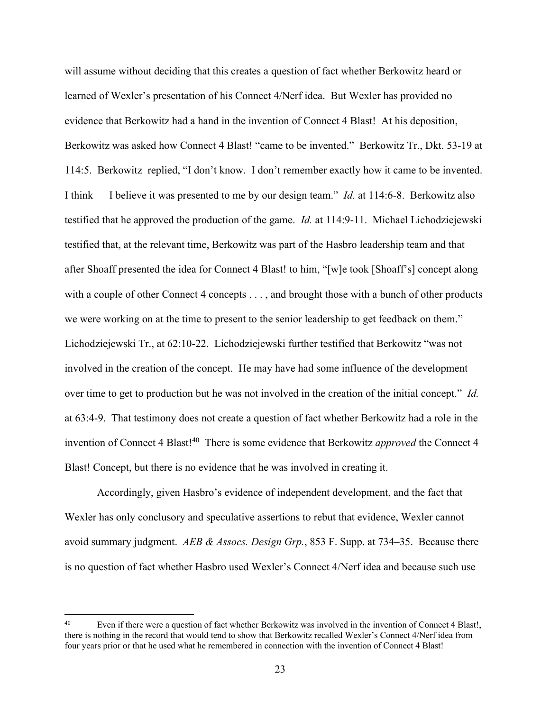will assume without deciding that this creates a question of fact whether Berkowitz heard or learned of Wexler's presentation of his Connect 4/Nerf idea. But Wexler has provided no evidence that Berkowitz had a hand in the invention of Connect 4 Blast! At his deposition, Berkowitz was asked how Connect 4 Blast! "came to be invented." Berkowitz Tr., Dkt. 53-19 at 114:5. Berkowitz replied, "I don't know. I don't remember exactly how it came to be invented. I think — I believe it was presented to me by our design team." *Id.* at 114:6-8. Berkowitz also testified that he approved the production of the game. *Id.* at 114:9-11. Michael Lichodziejewski testified that, at the relevant time, Berkowitz was part of the Hasbro leadership team and that after Shoaff presented the idea for Connect 4 Blast! to him, "[w]e took [Shoaff's] concept along with a couple of other Connect 4 concepts . . . , and brought those with a bunch of other products we were working on at the time to present to the senior leadership to get feedback on them." Lichodziejewski Tr., at 62:10-22. Lichodziejewski further testified that Berkowitz "was not involved in the creation of the concept. He may have had some influence of the development over time to get to production but he was not involved in the creation of the initial concept." *Id.*  at 63:4-9. That testimony does not create a question of fact whether Berkowitz had a role in the invention of Connect 4 Blast!<sup>40</sup> There is some evidence that Berkowitz *approved* the Connect 4 Blast! Concept, but there is no evidence that he was involved in creating it.

Accordingly, given Hasbro's evidence of independent development, and the fact that Wexler has only conclusory and speculative assertions to rebut that evidence, Wexler cannot avoid summary judgment. *AEB & Assocs. Design Grp.*, 853 F. Supp. at 734–35. Because there is no question of fact whether Hasbro used Wexler's Connect 4/Nerf idea and because such use

Even if there were a question of fact whether Berkowitz was involved in the invention of Connect 4 Blast!, there is nothing in the record that would tend to show that Berkowitz recalled Wexler's Connect 4/Nerf idea from four years prior or that he used what he remembered in connection with the invention of Connect 4 Blast!